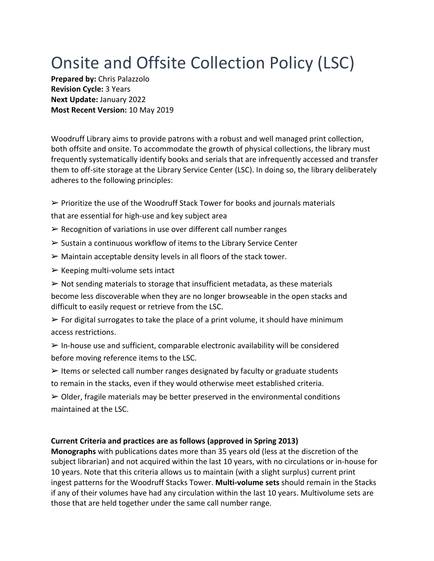## Onsite and Offsite Collection Policy (LSC)

**Prepared by:** Chris Palazzolo **Revision Cycle:** 3 Years **Next Update:** January 2022 **Most Recent Version:** 10 May 2019

Woodruff Library aims to provide patrons with a robust and well managed print collection, both offsite and onsite. To accommodate the growth of physical collections, the library must frequently systematically identify books and serials that are infrequently accessed and transfer them to off-site storage at the Library Service Center (LSC). In doing so, the library deliberately adheres to the following principles:

- $\triangleright$  Prioritize the use of the Woodruff Stack Tower for books and journals materials
- that are essential for high-use and key subject area
- $\triangleright$  Recognition of variations in use over different call number ranges
- $\triangleright$  Sustain a continuous workflow of items to the Library Service Center
- $\triangleright$  Maintain acceptable density levels in all floors of the stack tower.
- $\triangleright$  Keeping multi-volume sets intact

 $\triangleright$  Not sending materials to storage that insufficient metadata, as these materials become less discoverable when they are no longer browseable in the open stacks and difficult to easily request or retrieve from the LSC.

 $\triangleright$  For digital surrogates to take the place of a print volume, it should have minimum access restrictions.

 $\triangleright$  In-house use and sufficient, comparable electronic availability will be considered before moving reference items to the LSC.

 $\triangleright$  Items or selected call number ranges designated by faculty or graduate students to remain in the stacks, even if they would otherwise meet established criteria.

 $\triangleright$  Older, fragile materials may be better preserved in the environmental conditions maintained at the LSC.

## **Current Criteria and practices are as follows (approved in Spring 2013)**

**Monographs** with publications dates more than 35 years old (less at the discretion of the subject librarian) and not acquired within the last 10 years, with no circulations or in-house for 10 years. Note that this criteria allows us to maintain (with a slight surplus) current print ingest patterns for the Woodruff Stacks Tower. **Multi-volume sets** should remain in the Stacks if any of their volumes have had any circulation within the last 10 years. Multivolume sets are those that are held together under the same call number range.